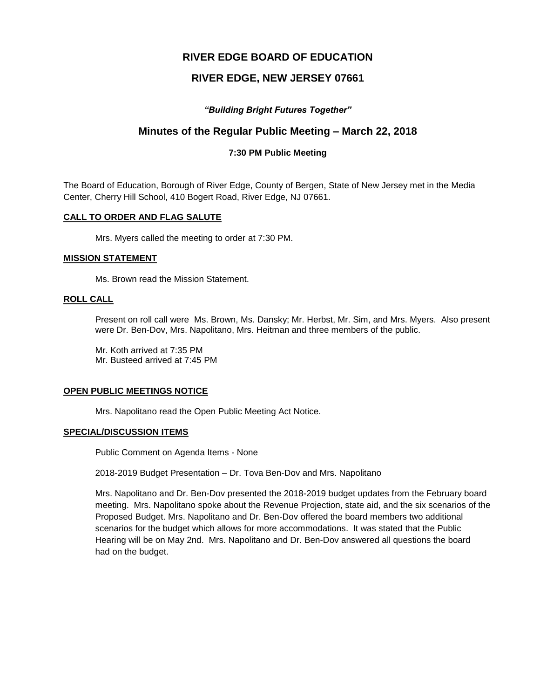# **RIVER EDGE BOARD OF EDUCATION**

# **RIVER EDGE, NEW JERSEY 07661**

# *"Building Bright Futures Together"*

# **Minutes of the Regular Public Meeting – March 22, 2018**

#### **7:30 PM Public Meeting**

The Board of Education, Borough of River Edge, County of Bergen, State of New Jersey met in the Media Center, Cherry Hill School, 410 Bogert Road, River Edge, NJ 07661.

#### **CALL TO ORDER AND FLAG SALUTE**

Mrs. Myers called the meeting to order at 7:30 PM.

#### **MISSION STATEMENT**

Ms. Brown read the Mission Statement.

#### **ROLL CALL**

Present on roll call were Ms. Brown, Ms. Dansky; Mr. Herbst, Mr. Sim, and Mrs. Myers. Also present were Dr. Ben-Dov, Mrs. Napolitano, Mrs. Heitman and three members of the public.

Mr. Koth arrived at 7:35 PM Mr. Busteed arrived at 7:45 PM

#### **OPEN PUBLIC MEETINGS NOTICE**

Mrs. Napolitano read the Open Public Meeting Act Notice.

### **SPECIAL/DISCUSSION ITEMS**

Public Comment on Agenda Items - None

2018-2019 Budget Presentation – Dr. Tova Ben-Dov and Mrs. Napolitano

Mrs. Napolitano and Dr. Ben-Dov presented the 2018-2019 budget updates from the February board meeting. Mrs. Napolitano spoke about the Revenue Projection, state aid, and the six scenarios of the Proposed Budget. Mrs. Napolitano and Dr. Ben-Dov offered the board members two additional scenarios for the budget which allows for more accommodations. It was stated that the Public Hearing will be on May 2nd. Mrs. Napolitano and Dr. Ben-Dov answered all questions the board had on the budget.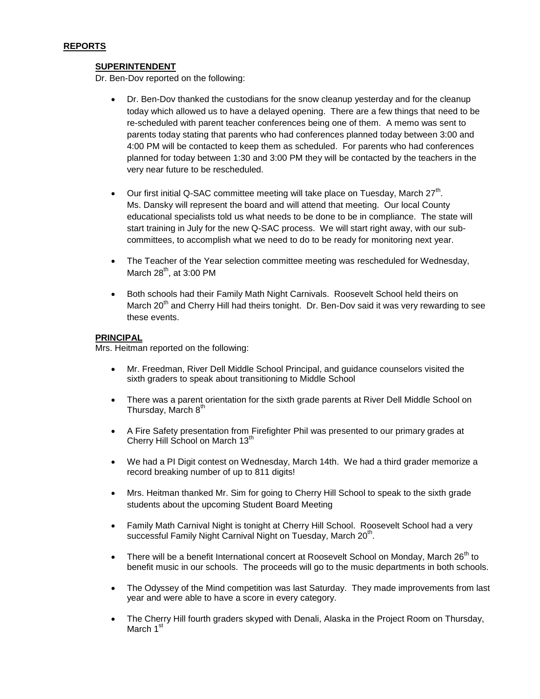# **REPORTS**

### **SUPERINTENDENT**

Dr. Ben-Dov reported on the following:

- Dr. Ben-Dov thanked the custodians for the snow cleanup yesterday and for the cleanup today which allowed us to have a delayed opening. There are a few things that need to be re-scheduled with parent teacher conferences being one of them. A memo was sent to parents today stating that parents who had conferences planned today between 3:00 and 4:00 PM will be contacted to keep them as scheduled. For parents who had conferences planned for today between 1:30 and 3:00 PM they will be contacted by the teachers in the very near future to be rescheduled.
- Our first initial Q-SAC committee meeting will take place on Tuesday, March  $27<sup>th</sup>$ . Ms. Dansky will represent the board and will attend that meeting. Our local County educational specialists told us what needs to be done to be in compliance. The state will start training in July for the new Q-SAC process. We will start right away, with our subcommittees, to accomplish what we need to do to be ready for monitoring next year.
- The Teacher of the Year selection committee meeting was rescheduled for Wednesday, March  $28<sup>th</sup>$ , at 3:00 PM
- Both schools had their Family Math Night Carnivals. Roosevelt School held theirs on March 20<sup>th</sup> and Cherry Hill had theirs tonight. Dr. Ben-Dov said it was very rewarding to see these events.

#### **PRINCIPAL**

Mrs. Heitman reported on the following:

- Mr. Freedman, River Dell Middle School Principal, and guidance counselors visited the sixth graders to speak about transitioning to Middle School
- There was a parent orientation for the sixth grade parents at River Dell Middle School on Thursday, March 8th
- A Fire Safety presentation from Firefighter Phil was presented to our primary grades at Cherry Hill School on March 13<sup>th</sup>
- We had a PI Digit contest on Wednesday, March 14th. We had a third grader memorize a record breaking number of up to 811 digits!
- Mrs. Heitman thanked Mr. Sim for going to Cherry Hill School to speak to the sixth grade students about the upcoming Student Board Meeting
- Family Math Carnival Night is tonight at Cherry Hill School. Roosevelt School had a very successful Family Night Carnival Night on Tuesday, March 20<sup>th</sup>.
- $\bullet$  There will be a benefit International concert at Roosevelt School on Monday, March 26<sup>th</sup> to benefit music in our schools. The proceeds will go to the music departments in both schools.
- The Odyssey of the Mind competition was last Saturday. They made improvements from last year and were able to have a score in every category.
- The Cherry Hill fourth graders skyped with Denali, Alaska in the Project Room on Thursday, March 1<sup>st</sup>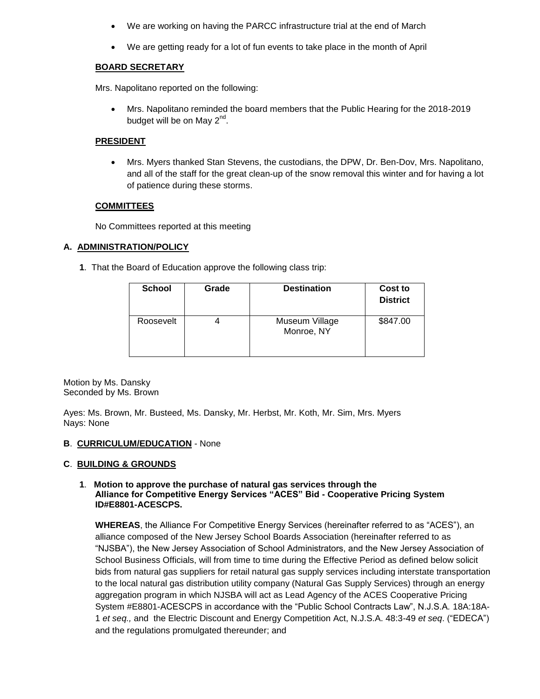- We are working on having the PARCC infrastructure trial at the end of March
- We are getting ready for a lot of fun events to take place in the month of April

### **BOARD SECRETARY**

Mrs. Napolitano reported on the following:

 Mrs. Napolitano reminded the board members that the Public Hearing for the 2018-2019 budget will be on May 2<sup>nd</sup>.

### **PRESIDENT**

 Mrs. Myers thanked Stan Stevens, the custodians, the DPW, Dr. Ben-Dov, Mrs. Napolitano, and all of the staff for the great clean-up of the snow removal this winter and for having a lot of patience during these storms.

### **COMMITTEES**

No Committees reported at this meeting

### **A. ADMINISTRATION/POLICY**

**1**. That the Board of Education approve the following class trip:

| <b>School</b> | Grade | <b>Destination</b>           | Cost to<br><b>District</b> |
|---------------|-------|------------------------------|----------------------------|
| Roosevelt     |       | Museum Village<br>Monroe, NY | \$847.00                   |

Motion by Ms. Dansky Seconded by Ms. Brown

Ayes: Ms. Brown, Mr. Busteed, Ms. Dansky, Mr. Herbst, Mr. Koth, Mr. Sim, Mrs. Myers Nays: None

#### **B**. **CURRICULUM/EDUCATION** - None

#### **C**. **BUILDING & GROUNDS**

#### **1**. **Motion to approve the purchase of natural gas services through the Alliance for Competitive Energy Services "ACES" Bid - Cooperative Pricing System ID#E8801-ACESCPS.**

**WHEREAS**, the Alliance For Competitive Energy Services (hereinafter referred to as "ACES"), an alliance composed of the New Jersey School Boards Association (hereinafter referred to as "NJSBA"), the New Jersey Association of School Administrators, and the New Jersey Association of School Business Officials, will from time to time during the Effective Period as defined below solicit bids from natural gas suppliers for retail natural gas supply services including interstate transportation to the local natural gas distribution utility company (Natural Gas Supply Services) through an energy aggregation program in which NJSBA will act as Lead Agency of the ACES Cooperative Pricing System #E8801-ACESCPS in accordance with the "Public School Contracts Law", N.J.S.A*.* 18A:18A-1 *et seq.,* and the Electric Discount and Energy Competition Act, N.J.S.A. 48:3-49 *et seq*. ("EDECA") and the regulations promulgated thereunder; and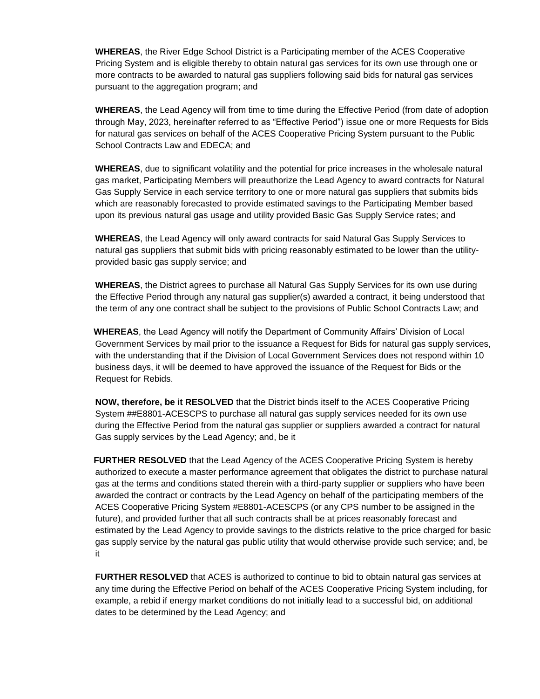**WHEREAS**, the River Edge School District is a Participating member of the ACES Cooperative Pricing System and is eligible thereby to obtain natural gas services for its own use through one or more contracts to be awarded to natural gas suppliers following said bids for natural gas services pursuant to the aggregation program; and

**WHEREAS**, the Lead Agency will from time to time during the Effective Period (from date of adoption through May, 2023, hereinafter referred to as "Effective Period") issue one or more Requests for Bids for natural gas services on behalf of the ACES Cooperative Pricing System pursuant to the Public School Contracts Law and EDECA; and

**WHEREAS**, due to significant volatility and the potential for price increases in the wholesale natural gas market, Participating Members will preauthorize the Lead Agency to award contracts for Natural Gas Supply Service in each service territory to one or more natural gas suppliers that submits bids which are reasonably forecasted to provide estimated savings to the Participating Member based upon its previous natural gas usage and utility provided Basic Gas Supply Service rates; and

**WHEREAS**, the Lead Agency will only award contracts for said Natural Gas Supply Services to natural gas suppliers that submit bids with pricing reasonably estimated to be lower than the utilityprovided basic gas supply service; and

**WHEREAS**, the District agrees to purchase all Natural Gas Supply Services for its own use during the Effective Period through any natural gas supplier(s) awarded a contract, it being understood that the term of any one contract shall be subject to the provisions of Public School Contracts Law; and

**WHEREAS**, the Lead Agency will notify the Department of Community Affairs' Division of Local Government Services by mail prior to the issuance a Request for Bids for natural gas supply services, with the understanding that if the Division of Local Government Services does not respond within 10 business days, it will be deemed to have approved the issuance of the Request for Bids or the Request for Rebids.

**NOW, therefore, be it RESOLVED** that the District binds itself to the ACES Cooperative Pricing System ##E8801-ACESCPS to purchase all natural gas supply services needed for its own use during the Effective Period from the natural gas supplier or suppliers awarded a contract for natural Gas supply services by the Lead Agency; and, be it

**FURTHER RESOLVED** that the Lead Agency of the ACES Cooperative Pricing System is hereby authorized to execute a master performance agreement that obligates the district to purchase natural gas at the terms and conditions stated therein with a third-party supplier or suppliers who have been awarded the contract or contracts by the Lead Agency on behalf of the participating members of the ACES Cooperative Pricing System #E8801-ACESCPS (or any CPS number to be assigned in the future), and provided further that all such contracts shall be at prices reasonably forecast and estimated by the Lead Agency to provide savings to the districts relative to the price charged for basic gas supply service by the natural gas public utility that would otherwise provide such service; and, be it

 **FURTHER RESOLVED** that ACES is authorized to continue to bid to obtain natural gas services at any time during the Effective Period on behalf of the ACES Cooperative Pricing System including, for example, a rebid if energy market conditions do not initially lead to a successful bid, on additional dates to be determined by the Lead Agency; and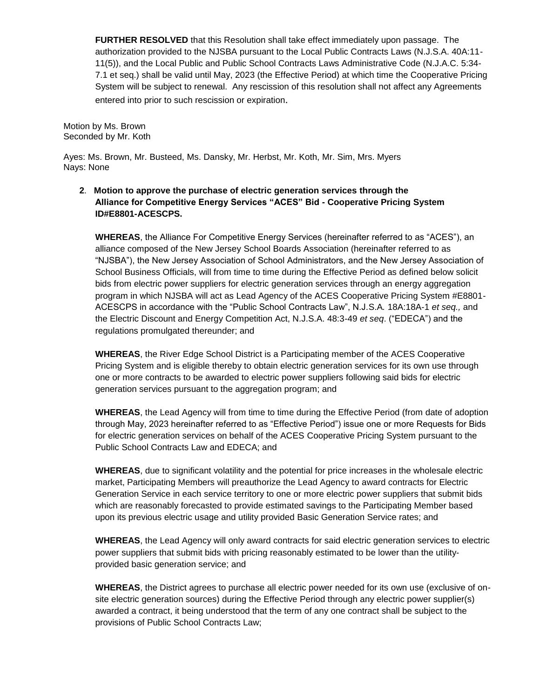**FURTHER RESOLVED** that this Resolution shall take effect immediately upon passage. The authorization provided to the NJSBA pursuant to the Local Public Contracts Laws (N.J.S.A. 40A:11- 11(5)), and the Local Public and Public School Contracts Laws Administrative Code (N.J.A.C. 5:34- 7.1 et seq.) shall be valid until May, 2023 (the Effective Period) at which time the Cooperative Pricing System will be subject to renewal. Any rescission of this resolution shall not affect any Agreements entered into prior to such rescission or expiration.

Motion by Ms. Brown Seconded by Mr. Koth

Ayes: Ms. Brown, Mr. Busteed, Ms. Dansky, Mr. Herbst, Mr. Koth, Mr. Sim, Mrs. Myers Nays: None

# **2**. **Motion to approve the purchase of electric generation services through the Alliance for Competitive Energy Services "ACES" Bid - Cooperative Pricing System ID#E8801-ACESCPS.**

**WHEREAS**, the Alliance For Competitive Energy Services (hereinafter referred to as "ACES"), an alliance composed of the New Jersey School Boards Association (hereinafter referred to as "NJSBA"), the New Jersey Association of School Administrators, and the New Jersey Association of School Business Officials, will from time to time during the Effective Period as defined below solicit bids from electric power suppliers for electric generation services through an energy aggregation program in which NJSBA will act as Lead Agency of the ACES Cooperative Pricing System #E8801- ACESCPS in accordance with the "Public School Contracts Law", N.J.S.A*.* 18A:18A-1 *et seq.,* and the Electric Discount and Energy Competition Act, N.J.S.A. 48:3-49 *et seq*. ("EDECA") and the regulations promulgated thereunder; and

**WHEREAS**, the River Edge School District is a Participating member of the ACES Cooperative Pricing System and is eligible thereby to obtain electric generation services for its own use through one or more contracts to be awarded to electric power suppliers following said bids for electric generation services pursuant to the aggregation program; and

**WHEREAS**, the Lead Agency will from time to time during the Effective Period (from date of adoption through May, 2023 hereinafter referred to as "Effective Period") issue one or more Requests for Bids for electric generation services on behalf of the ACES Cooperative Pricing System pursuant to the Public School Contracts Law and EDECA; and

**WHEREAS**, due to significant volatility and the potential for price increases in the wholesale electric market, Participating Members will preauthorize the Lead Agency to award contracts for Electric Generation Service in each service territory to one or more electric power suppliers that submit bids which are reasonably forecasted to provide estimated savings to the Participating Member based upon its previous electric usage and utility provided Basic Generation Service rates; and

**WHEREAS**, the Lead Agency will only award contracts for said electric generation services to electric power suppliers that submit bids with pricing reasonably estimated to be lower than the utilityprovided basic generation service; and

**WHEREAS**, the District agrees to purchase all electric power needed for its own use (exclusive of onsite electric generation sources) during the Effective Period through any electric power supplier(s) awarded a contract, it being understood that the term of any one contract shall be subject to the provisions of Public School Contracts Law;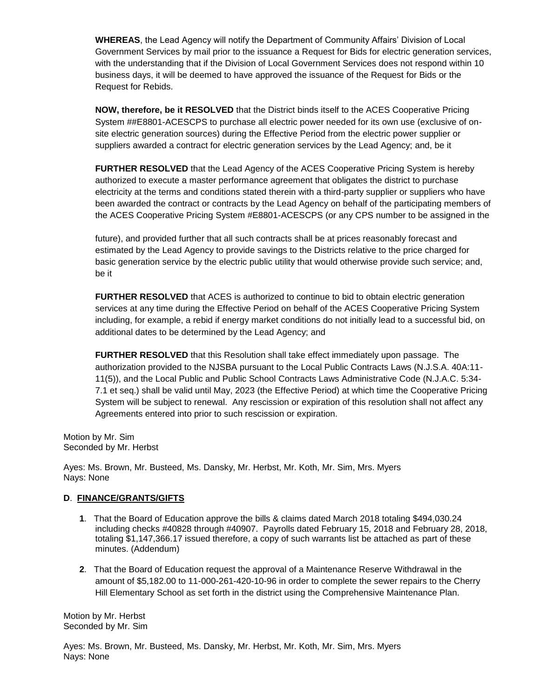**WHEREAS**, the Lead Agency will notify the Department of Community Affairs' Division of Local Government Services by mail prior to the issuance a Request for Bids for electric generation services, with the understanding that if the Division of Local Government Services does not respond within 10 business days, it will be deemed to have approved the issuance of the Request for Bids or the Request for Rebids.

**NOW, therefore, be it RESOLVED** that the District binds itself to the ACES Cooperative Pricing System ##E8801-ACESCPS to purchase all electric power needed for its own use (exclusive of onsite electric generation sources) during the Effective Period from the electric power supplier or suppliers awarded a contract for electric generation services by the Lead Agency; and, be it

**FURTHER RESOLVED** that the Lead Agency of the ACES Cooperative Pricing System is hereby authorized to execute a master performance agreement that obligates the district to purchase electricity at the terms and conditions stated therein with a third-party supplier or suppliers who have been awarded the contract or contracts by the Lead Agency on behalf of the participating members of the ACES Cooperative Pricing System #E8801-ACESCPS (or any CPS number to be assigned in the

future), and provided further that all such contracts shall be at prices reasonably forecast and estimated by the Lead Agency to provide savings to the Districts relative to the price charged for basic generation service by the electric public utility that would otherwise provide such service; and, be it

**FURTHER RESOLVED** that ACES is authorized to continue to bid to obtain electric generation services at any time during the Effective Period on behalf of the ACES Cooperative Pricing System including, for example, a rebid if energy market conditions do not initially lead to a successful bid, on additional dates to be determined by the Lead Agency; and

**FURTHER RESOLVED** that this Resolution shall take effect immediately upon passage. The authorization provided to the NJSBA pursuant to the Local Public Contracts Laws (N.J.S.A. 40A:11- 11(5)), and the Local Public and Public School Contracts Laws Administrative Code (N.J.A.C. 5:34- 7.1 et seq.) shall be valid until May, 2023 (the Effective Period) at which time the Cooperative Pricing System will be subject to renewal. Any rescission or expiration of this resolution shall not affect any Agreements entered into prior to such rescission or expiration.

Motion by Mr. Sim Seconded by Mr. Herbst

Ayes: Ms. Brown, Mr. Busteed, Ms. Dansky, Mr. Herbst, Mr. Koth, Mr. Sim, Mrs. Myers Nays: None

# **D**. **FINANCE/GRANTS/GIFTS**

- **1**. That the Board of Education approve the bills & claims dated March 2018 totaling \$494,030.24 including checks #40828 through #40907. Payrolls dated February 15, 2018 and February 28, 2018, totaling \$1,147,366.17 issued therefore, a copy of such warrants list be attached as part of these minutes. (Addendum)
- **2**. That the Board of Education request the approval of a Maintenance Reserve Withdrawal in the amount of \$5,182.00 to 11-000-261-420-10-96 in order to complete the sewer repairs to the Cherry Hill Elementary School as set forth in the district using the Comprehensive Maintenance Plan.

Motion by Mr. Herbst Seconded by Mr. Sim

Ayes: Ms. Brown, Mr. Busteed, Ms. Dansky, Mr. Herbst, Mr. Koth, Mr. Sim, Mrs. Myers Nays: None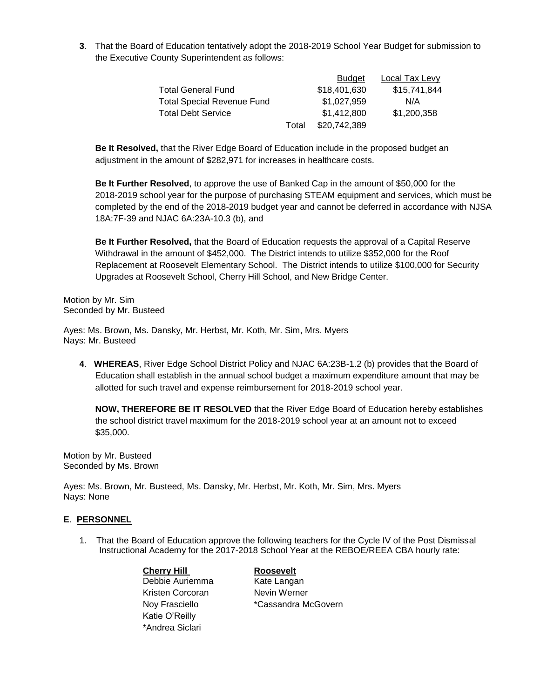**3**. That the Board of Education tentatively adopt the 2018-2019 School Year Budget for submission to the Executive County Superintendent as follows:

|                                   |       | <b>Budget</b> | Local Tax Levy |
|-----------------------------------|-------|---------------|----------------|
| <b>Total General Fund</b>         |       | \$18,401,630  | \$15,741,844   |
| <b>Total Special Revenue Fund</b> |       | \$1,027,959   | N/A            |
| <b>Total Debt Service</b>         |       | \$1,412,800   | \$1,200,358    |
|                                   | Total | \$20,742,389  |                |

**Be It Resolved,** that the River Edge Board of Education include in the proposed budget an adjustment in the amount of \$282,971 for increases in healthcare costs.

**Be It Further Resolved**, to approve the use of Banked Cap in the amount of \$50,000 for the 2018-2019 school year for the purpose of purchasing STEAM equipment and services, which must be completed by the end of the 2018-2019 budget year and cannot be deferred in accordance with NJSA 18A:7F-39 and NJAC 6A:23A-10.3 (b), and

**Be It Further Resolved,** that the Board of Education requests the approval of a Capital Reserve Withdrawal in the amount of \$452,000. The District intends to utilize \$352,000 for the Roof Replacement at Roosevelt Elementary School. The District intends to utilize \$100,000 for Security Upgrades at Roosevelt School, Cherry Hill School, and New Bridge Center.

Motion by Mr. Sim Seconded by Mr. Busteed

Ayes: Ms. Brown, Ms. Dansky, Mr. Herbst, Mr. Koth, Mr. Sim, Mrs. Myers Nays: Mr. Busteed

**4**. **WHEREAS**, River Edge School District Policy and NJAC 6A:23B-1.2 (b) provides that the Board of Education shall establish in the annual school budget a maximum expenditure amount that may be allotted for such travel and expense reimbursement for 2018-2019 school year.

**NOW, THEREFORE BE IT RESOLVED** that the River Edge Board of Education hereby establishes the school district travel maximum for the 2018-2019 school year at an amount not to exceed \$35,000.

Motion by Mr. Busteed Seconded by Ms. Brown

Ayes: Ms. Brown, Mr. Busteed, Ms. Dansky, Mr. Herbst, Mr. Koth, Mr. Sim, Mrs. Myers Nays: None

# **E**. **PERSONNEL**

1. That the Board of Education approve the following teachers for the Cycle IV of the Post Dismissal Instructional Academy for the 2017-2018 School Year at the REBOE/REEA CBA hourly rate:

> **Cherry Hill Roosevelt** Debbie Auriemma Kate Langan Kristen Corcoran Nevin Werner Katie O'Reilly \*Andrea Siclari

Noy Frasciello **\*Cassandra McGovern**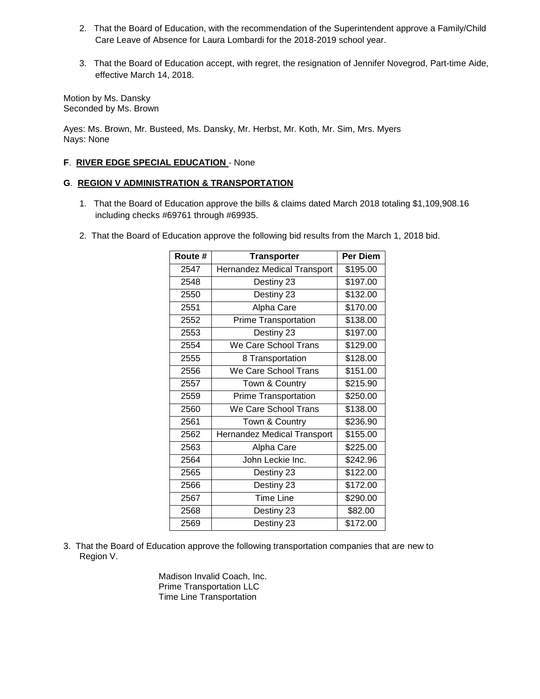- 2. That the Board of Education, with the recommendation of the Superintendent approve a Family/Child Care Leave of Absence for Laura Lombardi for the 2018-2019 school year.
- 3. That the Board of Education accept, with regret, the resignation of Jennifer Novegrod, Part-time Aide, effective March 14, 2018.

Motion by Ms. Dansky Seconded by Ms. Brown

Ayes: Ms. Brown, Mr. Busteed, Ms. Dansky, Mr. Herbst, Mr. Koth, Mr. Sim, Mrs. Myers Nays: None

# **F**. **RIVER EDGE SPECIAL EDUCATION** - None

# **G**. **REGION V ADMINISTRATION & TRANSPORTATION**

- 1. That the Board of Education approve the bills & claims dated March 2018 totaling \$1,109,908.16 including checks #69761 through #69935.
- 2. That the Board of Education approve the following bid results from the March 1, 2018 bid.

| Route # | <b>Transporter</b>          | Per Diem |
|---------|-----------------------------|----------|
| 2547    | Hernandez Medical Transport | \$195.00 |
| 2548    | Destiny 23                  | \$197.00 |
| 2550    | Destiny 23                  | \$132.00 |
| 2551    | Alpha Care                  | \$170.00 |
| 2552    | Prime Transportation        | \$138.00 |
| 2553    | Destiny 23                  | \$197.00 |
| 2554    | We Care School Trans        | \$129.00 |
| 2555    | 8 Transportation            | \$128.00 |
| 2556    | We Care School Trans        | \$151.00 |
| 2557    | Town & Country              | \$215.90 |
| 2559    | <b>Prime Transportation</b> | \$250.00 |
| 2560    | We Care School Trans        | \$138.00 |
| 2561    | Town & Country              | \$236.90 |
| 2562    | Hernandez Medical Transport | \$155.00 |
| 2563    | Alpha Care                  | \$225.00 |
| 2564    | John Leckie Inc.            | \$242.96 |
| 2565    | Destiny 23                  | \$122.00 |
| 2566    | Destiny 23                  | \$172.00 |
| 2567    | <b>Time Line</b>            | \$290.00 |
| 2568    | Destiny 23                  | \$82.00  |
| 2569    | Destiny 23                  | \$172.00 |

3. That the Board of Education approve the following transportation companies that are new to Region V.

> Madison Invalid Coach, Inc. Prime Transportation LLC Time Line Transportation